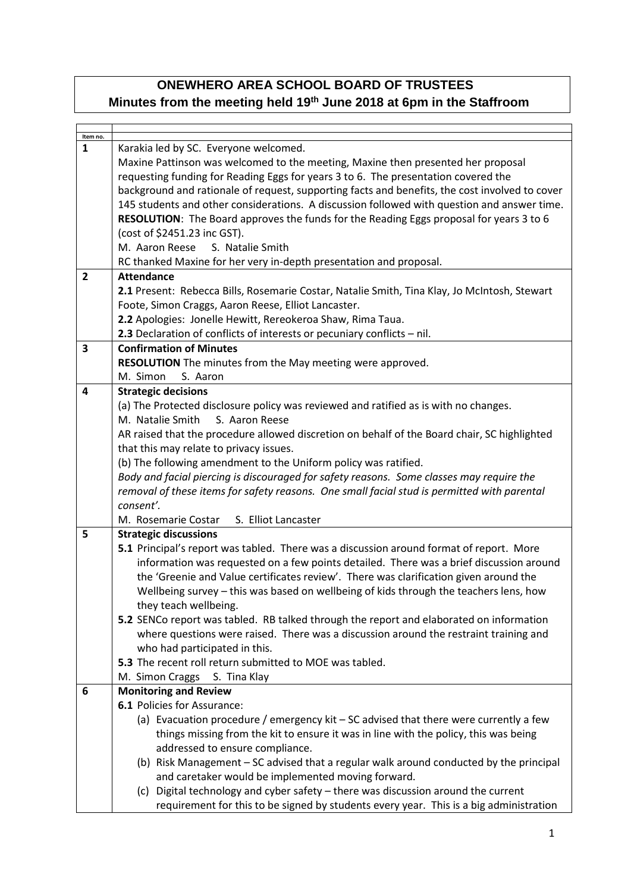## **ONEWHERO AREA SCHOOL BOARD OF TRUSTEES Minutes from the meeting held 19th June 2018 at 6pm in the Staffroom**

| Item no.<br>$\mathbf{1}$ | Karakia led by SC. Everyone welcomed.                                                          |  |  |
|--------------------------|------------------------------------------------------------------------------------------------|--|--|
|                          |                                                                                                |  |  |
|                          | Maxine Pattinson was welcomed to the meeting, Maxine then presented her proposal               |  |  |
|                          | requesting funding for Reading Eggs for years 3 to 6. The presentation covered the             |  |  |
|                          | background and rationale of request, supporting facts and benefits, the cost involved to cover |  |  |
|                          | 145 students and other considerations. A discussion followed with question and answer time.    |  |  |
|                          | RESOLUTION: The Board approves the funds for the Reading Eggs proposal for years 3 to 6        |  |  |
|                          | (cost of \$2451.23 inc GST).                                                                   |  |  |
|                          | M. Aaron Reese<br>S. Natalie Smith                                                             |  |  |
|                          | RC thanked Maxine for her very in-depth presentation and proposal.                             |  |  |
| $\overline{2}$           | <b>Attendance</b>                                                                              |  |  |
|                          | 2.1 Present: Rebecca Bills, Rosemarie Costar, Natalie Smith, Tina Klay, Jo McIntosh, Stewart   |  |  |
|                          | Foote, Simon Craggs, Aaron Reese, Elliot Lancaster.                                            |  |  |
|                          | 2.2 Apologies: Jonelle Hewitt, Rereokeroa Shaw, Rima Taua.                                     |  |  |
|                          | 2.3 Declaration of conflicts of interests or pecuniary conflicts - nil.                        |  |  |
| $\overline{\mathbf{3}}$  | <b>Confirmation of Minutes</b>                                                                 |  |  |
|                          | RESOLUTION The minutes from the May meeting were approved.                                     |  |  |
|                          | M. Simon<br>S. Aaron                                                                           |  |  |
| 4                        | <b>Strategic decisions</b>                                                                     |  |  |
|                          | (a) The Protected disclosure policy was reviewed and ratified as is with no changes.           |  |  |
|                          | M. Natalie Smith<br>S. Aaron Reese                                                             |  |  |
|                          | AR raised that the procedure allowed discretion on behalf of the Board chair, SC highlighted   |  |  |
|                          | that this may relate to privacy issues.                                                        |  |  |
|                          | (b) The following amendment to the Uniform policy was ratified.                                |  |  |
|                          | Body and facial piercing is discouraged for safety reasons. Some classes may require the       |  |  |
|                          | removal of these items for safety reasons. One small facial stud is permitted with parental    |  |  |
|                          | consent'.                                                                                      |  |  |
|                          | S. Elliot Lancaster<br>M. Rosemarie Costar                                                     |  |  |
| 5                        | <b>Strategic discussions</b>                                                                   |  |  |
|                          | 5.1 Principal's report was tabled. There was a discussion around format of report. More        |  |  |
|                          | information was requested on a few points detailed. There was a brief discussion around        |  |  |
|                          | the 'Greenie and Value certificates review'. There was clarification given around the          |  |  |
|                          | Wellbeing survey - this was based on wellbeing of kids through the teachers lens, how          |  |  |
|                          | they teach wellbeing.                                                                          |  |  |
|                          | 5.2 SENCo report was tabled. RB talked through the report and elaborated on information        |  |  |
|                          | where questions were raised. There was a discussion around the restraint training and          |  |  |
|                          | who had participated in this.                                                                  |  |  |
|                          | 5.3 The recent roll return submitted to MOE was tabled.                                        |  |  |
|                          | M. Simon Craggs S. Tina Klay                                                                   |  |  |
| 6                        | <b>Monitoring and Review</b>                                                                   |  |  |
|                          | 6.1 Policies for Assurance:                                                                    |  |  |
|                          | (a) Evacuation procedure / emergency kit - SC advised that there were currently a few          |  |  |
|                          | things missing from the kit to ensure it was in line with the policy, this was being           |  |  |
|                          | addressed to ensure compliance.                                                                |  |  |
|                          | (b) Risk Management - SC advised that a regular walk around conducted by the principal         |  |  |
|                          | and caretaker would be implemented moving forward.                                             |  |  |
|                          | (c) Digital technology and cyber safety - there was discussion around the current              |  |  |
|                          | requirement for this to be signed by students every year. This is a big administration         |  |  |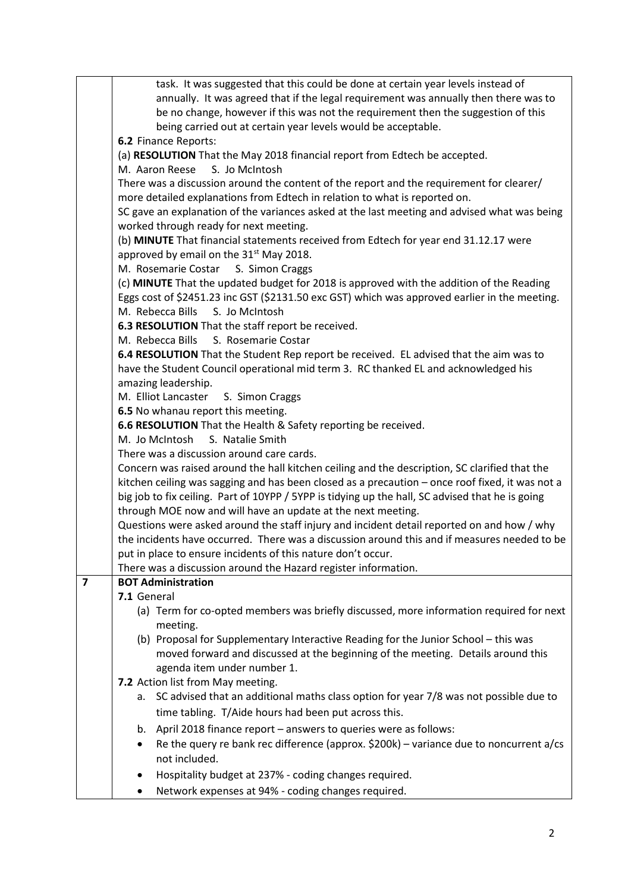|                                                                                          | task. It was suggested that this could be done at certain year levels instead of                 |  |  |  |
|------------------------------------------------------------------------------------------|--------------------------------------------------------------------------------------------------|--|--|--|
|                                                                                          | annually. It was agreed that if the legal requirement was annually then there was to             |  |  |  |
|                                                                                          | be no change, however if this was not the requirement then the suggestion of this                |  |  |  |
|                                                                                          | being carried out at certain year levels would be acceptable.                                    |  |  |  |
|                                                                                          | 6.2 Finance Reports:                                                                             |  |  |  |
|                                                                                          | (a) RESOLUTION That the May 2018 financial report from Edtech be accepted.                       |  |  |  |
| M. Aaron Reese<br>S. Jo McIntosh                                                         |                                                                                                  |  |  |  |
| There was a discussion around the content of the report and the requirement for clearer/ |                                                                                                  |  |  |  |
|                                                                                          | more detailed explanations from Edtech in relation to what is reported on.                       |  |  |  |
|                                                                                          | SC gave an explanation of the variances asked at the last meeting and advised what was being     |  |  |  |
|                                                                                          | worked through ready for next meeting.                                                           |  |  |  |
|                                                                                          | (b) MINUTE That financial statements received from Edtech for year end 31.12.17 were             |  |  |  |
|                                                                                          | approved by email on the 31 <sup>st</sup> May 2018.                                              |  |  |  |
|                                                                                          | M. Rosemarie Costar<br>S. Simon Craggs                                                           |  |  |  |
|                                                                                          | (c) MINUTE That the updated budget for 2018 is approved with the addition of the Reading         |  |  |  |
|                                                                                          | Eggs cost of \$2451.23 inc GST (\$2131.50 exc GST) which was approved earlier in the meeting.    |  |  |  |
|                                                                                          | M. Rebecca Bills S. Jo McIntosh                                                                  |  |  |  |
|                                                                                          | 6.3 RESOLUTION That the staff report be received.                                                |  |  |  |
|                                                                                          | S. Rosemarie Costar<br>M. Rebecca Bills                                                          |  |  |  |
|                                                                                          | 6.4 RESOLUTION That the Student Rep report be received. EL advised that the aim was to           |  |  |  |
|                                                                                          | have the Student Council operational mid term 3. RC thanked EL and acknowledged his              |  |  |  |
|                                                                                          | amazing leadership.                                                                              |  |  |  |
|                                                                                          | M. Elliot Lancaster<br>S. Simon Craggs                                                           |  |  |  |
|                                                                                          | 6.5 No whanau report this meeting.                                                               |  |  |  |
|                                                                                          | 6.6 RESOLUTION That the Health & Safety reporting be received.                                   |  |  |  |
|                                                                                          | M. Jo McIntosh<br>S. Natalie Smith                                                               |  |  |  |
|                                                                                          | There was a discussion around care cards.                                                        |  |  |  |
|                                                                                          | Concern was raised around the hall kitchen ceiling and the description, SC clarified that the    |  |  |  |
|                                                                                          | kitchen ceiling was sagging and has been closed as a precaution - once roof fixed, it was not a  |  |  |  |
|                                                                                          | big job to fix ceiling. Part of 10YPP / 5YPP is tidying up the hall, SC advised that he is going |  |  |  |
|                                                                                          | through MOE now and will have an update at the next meeting.                                     |  |  |  |
|                                                                                          | Questions were asked around the staff injury and incident detail reported on and how / why       |  |  |  |
|                                                                                          | the incidents have occurred. There was a discussion around this and if measures needed to be     |  |  |  |
|                                                                                          | put in place to ensure incidents of this nature don't occur.                                     |  |  |  |
|                                                                                          | There was a discussion around the Hazard register information.                                   |  |  |  |
| $\overline{\mathbf{z}}$                                                                  | <b>BOT Administration</b>                                                                        |  |  |  |
|                                                                                          | 7.1 General                                                                                      |  |  |  |
|                                                                                          | (a) Term for co-opted members was briefly discussed, more information required for next          |  |  |  |
|                                                                                          | meeting.                                                                                         |  |  |  |
|                                                                                          | (b) Proposal for Supplementary Interactive Reading for the Junior School - this was              |  |  |  |
|                                                                                          | moved forward and discussed at the beginning of the meeting. Details around this                 |  |  |  |
|                                                                                          | agenda item under number 1.                                                                      |  |  |  |
|                                                                                          | 7.2 Action list from May meeting.                                                                |  |  |  |
|                                                                                          | a. SC advised that an additional maths class option for year 7/8 was not possible due to         |  |  |  |
|                                                                                          | time tabling. T/Aide hours had been put across this.                                             |  |  |  |
|                                                                                          | b. April 2018 finance report – answers to queries were as follows:                               |  |  |  |
|                                                                                          | Re the query re bank rec difference (approx. \$200k) – variance due to noncurrent a/cs           |  |  |  |
|                                                                                          | not included.                                                                                    |  |  |  |
|                                                                                          | Hospitality budget at 237% - coding changes required.                                            |  |  |  |
|                                                                                          | Network expenses at 94% - coding changes required.                                               |  |  |  |